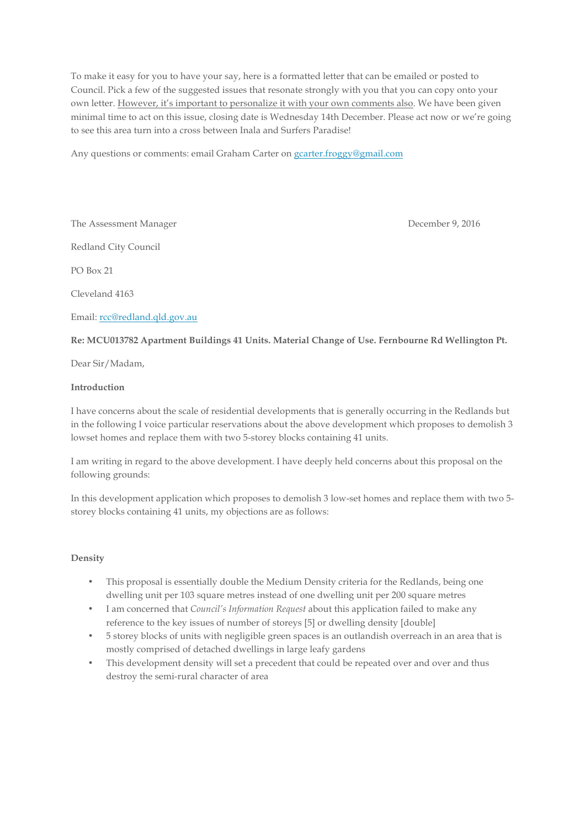To make it easy for you to have your say, here is a formatted letter that can be emailed or posted to Council. Pick a few of the suggested issues that resonate strongly with you that you can copy onto your own letter. However, it's important to personalize it with your own comments also. We have been given minimal time to act on this issue, closing date is Wednesday 14th December. Please act now or we're going to see this area turn into a cross between Inala and Surfers Paradise!

Any questions or comments: email Graham Carter on gcarter.froggy@gmail.com

The Assessment Manager **December 9, 2016** 

Redland City Council

PO Box 21

Cleveland 4163

Email: rcc@redland.qld.gov.au

#### **Re: MCU013782 Apartment Buildings 41 Units. Material Change of Use. Fernbourne Rd Wellington Pt.**

Dear Sir/Madam,

#### **Introduction**

I have concerns about the scale of residential developments that is generally occurring in the Redlands but in the following I voice particular reservations about the above development which proposes to demolish 3 lowset homes and replace them with two 5-storey blocks containing 41 units.

I am writing in regard to the above development. I have deeply held concerns about this proposal on the following grounds:

In this development application which proposes to demolish 3 low-set homes and replace them with two 5 storey blocks containing 41 units, my objections are as follows:

# **Density**

- This proposal is essentially double the Medium Density criteria for the Redlands, being one dwelling unit per 103 square metres instead of one dwelling unit per 200 square metres
- I am concerned that *Council's Information Request* about this application failed to make any reference to the key issues of number of storeys [5] or dwelling density [double]
- 5 storey blocks of units with negligible green spaces is an outlandish overreach in an area that is mostly comprised of detached dwellings in large leafy gardens
- This development density will set a precedent that could be repeated over and over and thus destroy the semi-rural character of area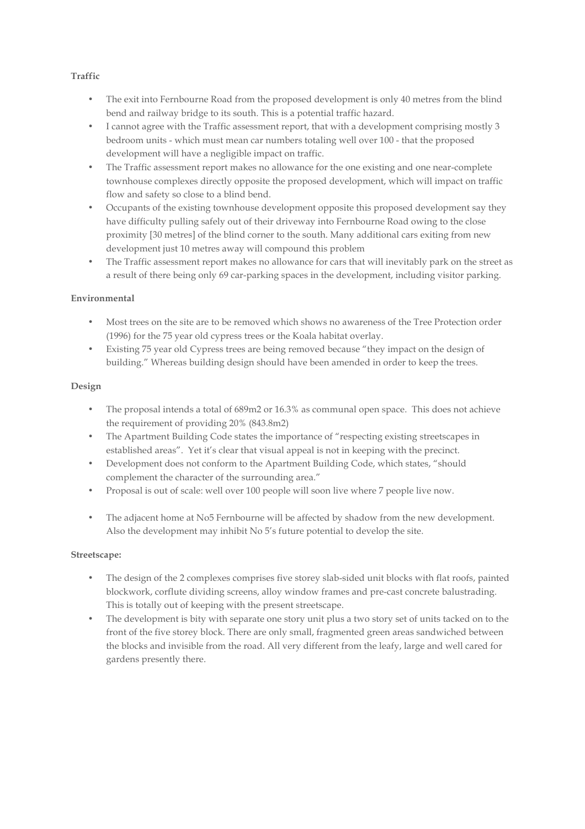# **Traffic**

- The exit into Fernbourne Road from the proposed development is only 40 metres from the blind bend and railway bridge to its south. This is a potential traffic hazard.
- I cannot agree with the Traffic assessment report, that with a development comprising mostly 3 bedroom units - which must mean car numbers totaling well over 100 - that the proposed development will have a negligible impact on traffic.
- The Traffic assessment report makes no allowance for the one existing and one near-complete townhouse complexes directly opposite the proposed development, which will impact on traffic flow and safety so close to a blind bend.
- Occupants of the existing townhouse development opposite this proposed development say they have difficulty pulling safely out of their driveway into Fernbourne Road owing to the close proximity [30 metres] of the blind corner to the south. Many additional cars exiting from new development just 10 metres away will compound this problem
- The Traffic assessment report makes no allowance for cars that will inevitably park on the street as a result of there being only 69 car-parking spaces in the development, including visitor parking.

# **Environmental**

- Most trees on the site are to be removed which shows no awareness of the Tree Protection order (1996) for the 75 year old cypress trees or the Koala habitat overlay.
- Existing 75 year old Cypress trees are being removed because "they impact on the design of building." Whereas building design should have been amended in order to keep the trees.

#### **Design**

- The proposal intends a total of 689m2 or 16.3% as communal open space. This does not achieve the requirement of providing 20% (843.8m2)
- The Apartment Building Code states the importance of "respecting existing streetscapes in established areas". Yet it's clear that visual appeal is not in keeping with the precinct.
- Development does not conform to the Apartment Building Code, which states, "should complement the character of the surrounding area."
- Proposal is out of scale: well over 100 people will soon live where 7 people live now.
- The adjacent home at No5 Fernbourne will be affected by shadow from the new development. Also the development may inhibit No 5's future potential to develop the site.

# **Streetscape:**

- The design of the 2 complexes comprises five storey slab-sided unit blocks with flat roofs, painted blockwork, corflute dividing screens, alloy window frames and pre-cast concrete balustrading. This is totally out of keeping with the present streetscape.
- The development is bity with separate one story unit plus a two story set of units tacked on to the front of the five storey block. There are only small, fragmented green areas sandwiched between the blocks and invisible from the road. All very different from the leafy, large and well cared for gardens presently there.